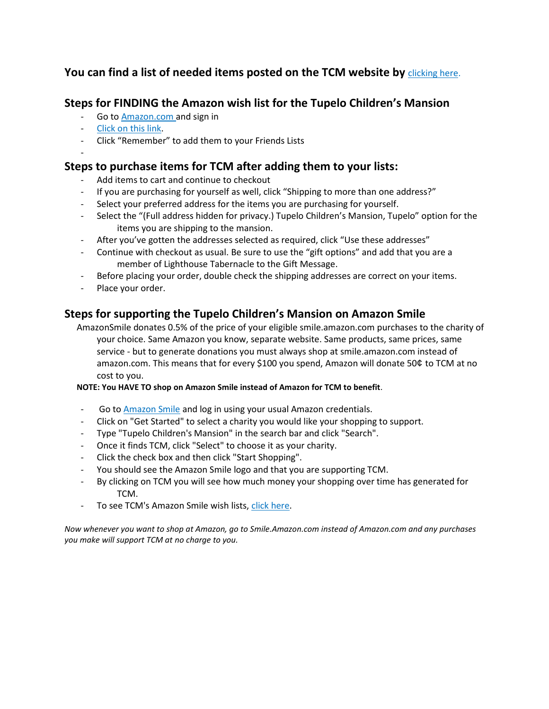# **You can find a list of needed items posted on the TCM website by** [clicking here.](https://mansionkids.org/give/needed-items/)

## **Steps for FINDING the Amazon wish list for the Tupelo Children's Mansion**

- Go to [Amazon.com](https://www.amazon.com/) and sign in
- [Click on this link.](https://www.amazon.com/gp/aw/ls/ref=?ie=UTF8&%2AVersion%2A=1&%2Aentries%2A=0&lid=32GDFO0DIHDS9&ty=wishlist)
- Click "Remember" to add them to your Friends Lists
- -

# **Steps to purchase items for TCM after adding them to your lists:**

- Add items to cart and continue to checkout
- If you are purchasing for yourself as well, click "Shipping to more than one address?"
- Select your preferred address for the items you are purchasing for yourself.
- Select the "(Full address hidden for privacy.) Tupelo Children's Mansion, Tupelo" option for the items you are shipping to the mansion.
- After you've gotten the addresses selected as required, click "Use these addresses"
- Continue with checkout as usual. Be sure to use the "gift options" and add that you are a member of Lighthouse Tabernacle to the Gift Message.
- Before placing your order, double check the shipping addresses are correct on your items.
- Place your order.

## **Steps for supporting the Tupelo Children's Mansion on Amazon Smile**

AmazonSmile donates 0.5% of the price of your eligible smile.amazon.com purchases to the charity of your choice. Same Amazon you know, separate website. Same products, same prices, same service - but to generate donations you must always shop at smile.amazon.com instead of amazon.com. This means that for every \$100 you spend, Amazon will donate 50¢ to TCM at no cost to you.

## **NOTE: You HAVE TO shop on Amazon Smile instead of Amazon for TCM to benefit**.

- Go t[o Amazon Smile](https://smile.amazon.com/) and log in using your usual Amazon credentials.
- Click on "Get Started" to select a charity you would like your shopping to support.
- Type "Tupelo Children's Mansion" in the search bar and click "Search".
- Once it finds TCM, click "Select" to choose it as your charity.
- Click the check box and then click "Start Shopping".
- You should see the Amazon Smile logo and that you are supporting TCM.
- By clicking on TCM you will see how much money your shopping over time has generated for TCM.
- To see TCM's Amazon Smile wish lists, [click here.](https://smile.amazon.com/gp/ch/list/64-0322607/)

*Now whenever you want to shop at Amazon, go to Smile.Amazon.com instead of Amazon.com and any purchases you make will support TCM at no charge to you.*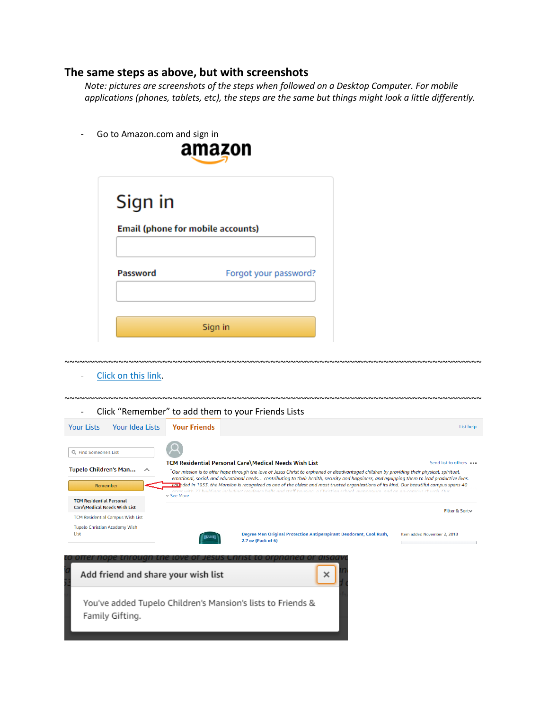## **The same steps as above, but with screenshots**

*Note: pictures are screenshots of the steps when followed on a Desktop Computer. For mobile applications (phones, tablets, etc), the steps are the same but things might look a little differently.* 

Go to Amazon.com and sign in



| Sign in<br>Email (phone for mobile accounts) |                       |
|----------------------------------------------|-----------------------|
| <b>Password</b>                              | Forgot your password? |
|                                              | Sign in               |

[Click on this link.](https://www.amazon.com/gp/aw/ls/ref=?ie=UTF8&%2AVersion%2A=1&%2Aentries%2A=0&lid=32GDFO0DIHDS9&ty=wishlist)

~~~~~~~~~~~~~~~~~~~~~~~~~~~~~~~~~~~~~~~~~~~~~~~~~~~~~~~~~~~~~~~~~~~~~~~~~~~~~~~~~~~~~ - Click "Remember" to add them to your Friends Lists



~~~~~~~~~~~~~~~~~~~~~~~~~~~~~~~~~~~~~~~~~~~~~~~~~~~~~~~~~~~~~~~~~~~~~~~~~~~~~~~~~~~~~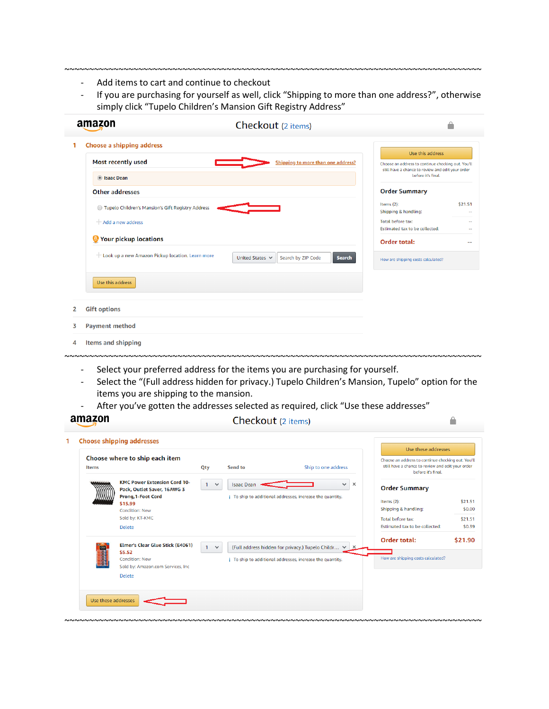- Add items to cart and continue to checkout
- If you are purchasing for yourself as well, click "Shipping to more than one address?", otherwise simply click "Tupelo Children's Mansion Gift Registry Address"

~~~~~~~~~~~~~~~~~~~~~~~~~~~~~~~~~~~~~~~~~~~~~~~~~~~~~~~~~~~~~~~~~~~~~~~~~~~~~~~~~~~~~

| amazon                                              | Checkout (2 items)                                                                         |                                                                                                         |
|-----------------------------------------------------|--------------------------------------------------------------------------------------------|---------------------------------------------------------------------------------------------------------|
| Choose a shipping address<br>1                      |                                                                                            | Use this address.                                                                                       |
| Most recently used                                  | Shipping to more than one address?                                                         | Choose an address to continue checking out. You'll<br>still have a chance to review and edit your order |
| <b>O</b> Isaac Dean                                 |                                                                                            | before it's final.                                                                                      |
| <b>Other addresses</b>                              | <b>Order Summary</b>                                                                       |                                                                                                         |
| ◯ Tupelo Children's Mansion's Gift Registry Address | Items $(2)$ :<br>Shipping & handling:                                                      | \$21.51                                                                                                 |
| $+$ Add a new address                               | Total before tax:<br>Estimated tax to be collected:                                        |                                                                                                         |
| <sup>3</sup> Your pickup locations                  | Order total:                                                                               | --                                                                                                      |
| - Look up a new Amazon Pickup location. Learn more  | Search by ZIP Code<br>United States<br><b>Search</b><br>How are shipping costs calculated? |                                                                                                         |
| Use this address.                                   |                                                                                            |                                                                                                         |
| <b>Gift options</b><br>$\overline{2}$               |                                                                                            |                                                                                                         |
| 3<br><b>Payment method</b>                          |                                                                                            |                                                                                                         |
| Items and shipping<br>4                             |                                                                                            |                                                                                                         |
|                                                     |                                                                                            |                                                                                                         |

- Select your preferred address for the items you are purchasing for yourself.
- Select the "(Full address hidden for privacy.) Tupelo Children's Mansion, Tupelo" option for the items you are shipping to the mansion.
- After you've gotten the addresses selected as required, click "Use these addresses"

|       | <b>Choose shipping addresses</b>                                                                                                                                 |                   |                   |                                                                                                                 | Use these addresses                                                                                                           |                                        |
|-------|------------------------------------------------------------------------------------------------------------------------------------------------------------------|-------------------|-------------------|-----------------------------------------------------------------------------------------------------------------|-------------------------------------------------------------------------------------------------------------------------------|----------------------------------------|
| Items | Choose where to ship each item                                                                                                                                   | Qty               | Send to           | Ship to one address                                                                                             | Choose an address to continue checking out. You'll<br>still have a chance to review and edit your order<br>before it's final. |                                        |
|       | <b>KMC Power Extension Cord 10-</b><br>Pack, Outlet Saver, 16AWG 3<br>Prong, 1-Foot Cord<br>\$15.99<br><b>Condition: New</b><br>Sold by: KT-KMC<br><b>Delete</b> | $1 \times$        | <b>Isaac Dean</b> | $\times$<br>$\checkmark$<br>j To ship to additional addresses, increase the quantity.                           | <b>Order Summary</b><br>Items $(2)$ :<br>Shipping & handling:<br>Total before tax:<br>Estimated tax to be collected:          | \$21.51<br>\$0.00<br>\$21.51<br>\$0.39 |
|       | Elmer's Clear Glue Stick (E4061)<br>\$5.52<br><b>Condition: New</b><br>Sold by: Amazon.com Services, Inc<br><b>Delete</b>                                        | $\checkmark$<br>1 |                   | (Full address hidden for privacy.) Tupelo Childr V<br>j To ship to additional addresses, increase the quantity. | Order total:<br>How are shipping costs calculated?                                                                            | \$21.90                                |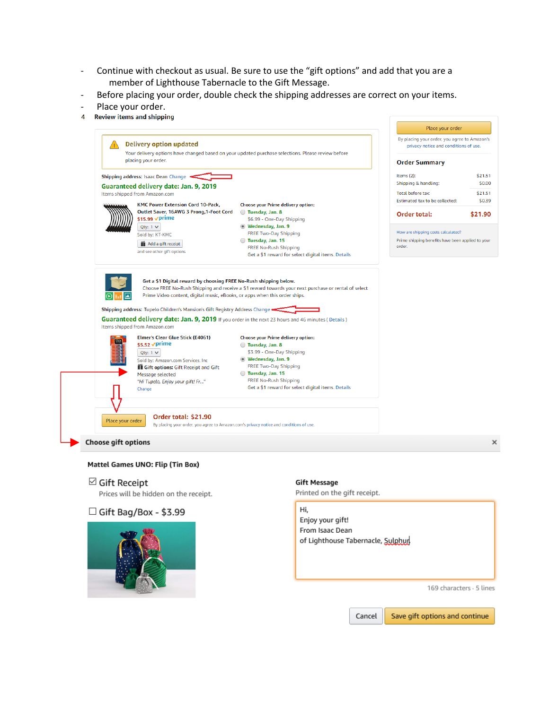- Continue with checkout as usual. Be sure to use the "gift options" and add that you are a member of Lighthouse Tabernacle to the Gift Message.
- Before placing your order, double check the shipping addresses are correct on your items.
- Place your order.<br>4 Review items and shipping
- 



#### Mattel Games UNO: Flip (Tin Box)

 $\boxdot$  Gift Receipt

Prices will be hidden on the receipt.





### **Gift Message**

Printed on the gift receipt.

Hi, Enjoy your gift! From Isaac Dean of Lighthouse Tabernacle, Sulphur

169 characters - 5 lines

Save gift options and continue Cancel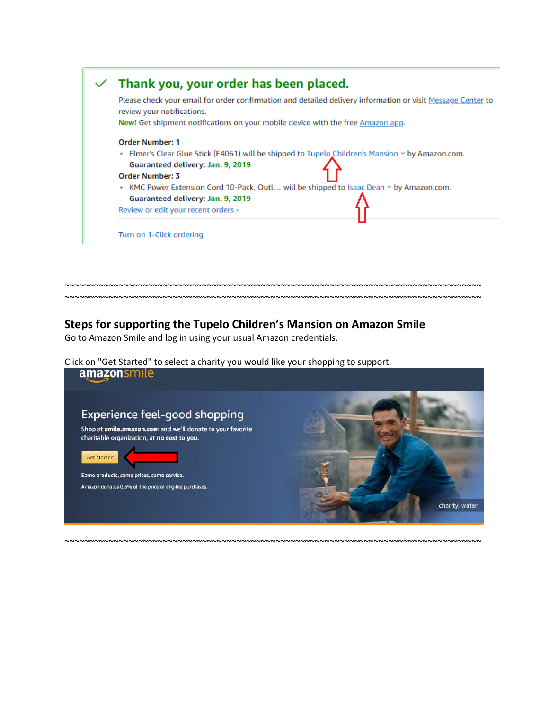

## **Steps for supporting the Tupelo Children's Mansion on Amazon Smile**

Go to Amazon Smile and log in using your usual Amazon credentials.

Click on "Get Started" to select a charity you would like your shopping to support.



~~~~~~~~~~~~~~~~~~~~~~~~~~~~~~~~~~~~~~~~~~~~~~~~~~~~~~~~~~~~~~~~~~~~~~~~~~~~~~~~~~~~~

~~~~~~~~~~~~~~~~~~~~~~~~~~~~~~~~~~~~~~~~~~~~~~~~~~~~~~~~~~~~~~~~~~~~~~~~~~~~~~~~~~~~~ ~~~~~~~~~~~~~~~~~~~~~~~~~~~~~~~~~~~~~~~~~~~~~~~~~~~~~~~~~~~~~~~~~~~~~~~~~~~~~~~~~~~~~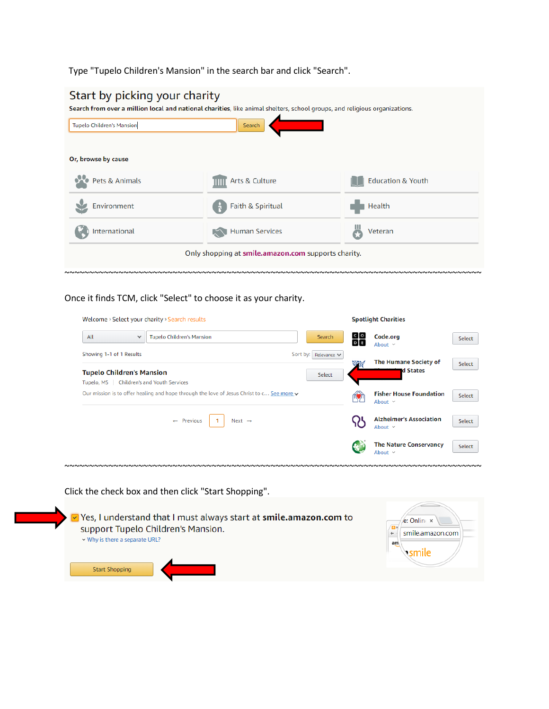Type "Tupelo Children's Mansion" in the search bar and click "Search".

| Start by picking your charity    | Search from over a million local and national charities, like animal shelters, school groups, and religious organizations. |                              |
|----------------------------------|----------------------------------------------------------------------------------------------------------------------------|------------------------------|
| <b>Tupelo Children's Mansion</b> | Search                                                                                                                     |                              |
| Or, browse by cause              |                                                                                                                            |                              |
| Pets & Animals                   | Arts & Culture                                                                                                             | <b>Education &amp; Youth</b> |
| Environment                      | Faith & Spiritual                                                                                                          | Health                       |
| International                    | <b>Human Services</b>                                                                                                      | Veteran                      |
|                                  | Only shopping at smile.amazon.com supports charity.                                                                        |                              |

~~~~~~~~~~~~~~~~~~~~~~~~~~~~~~~~~~~~~~~~~~~~~~~~~~~~~~~~~~~~~~~~~~~~~~~~~~~~~~~~~~~~~

Once it finds TCM, click "Select" to choose it as your charity.

| Welcome > Select your charity > Search results |                                                                                            |                                                                                           |    |                                                |                            |
|------------------------------------------------|--------------------------------------------------------------------------------------------|-------------------------------------------------------------------------------------------|----|------------------------------------------------|----------------------------|
|                                                |                                                                                            | Search                                                                                    | 읆  | Code.org<br>About $\sim$                       | Select                     |
|                                                | Sort by:                                                                                   | Relevance $\vee$<br>Select                                                                | 零裂 | <b>The Humane Society of</b><br>d States       | Select                     |
|                                                |                                                                                            |                                                                                           |    | <b>Fisher House Foundation</b><br>About $\sim$ | Select                     |
| Next $\rightarrow$                             |                                                                                            |                                                                                           |    | <b>Alzheimer's Association</b><br>About $\sim$ | Select                     |
|                                                |                                                                                            |                                                                                           |    | <b>The Nature Conservancy</b><br>About $\sim$  | Select                     |
|                                                | <b>Tupelo Children's Mansion</b><br>Children's and Youth Services<br>$\leftarrow$ Previous | Our mission is to offer healing and hope through the love of Jesus Christ to c See more v |    |                                                | <b>Spotlight Charities</b> |

Click the check box and then click "Start Shopping".